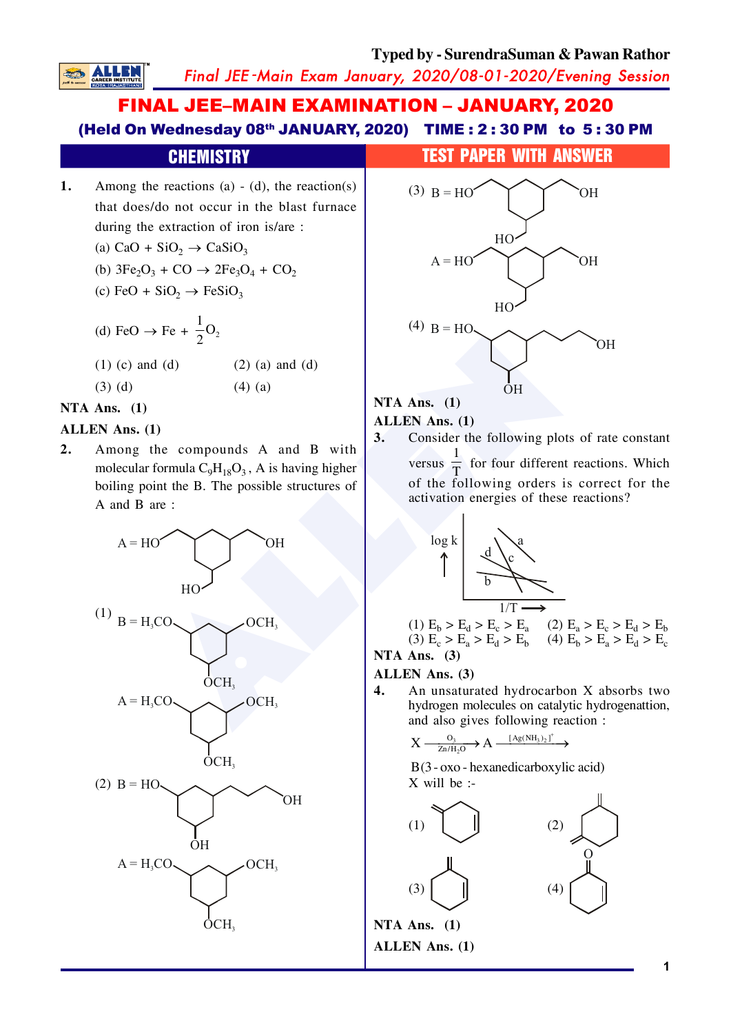**Typed by - SurendraSuman & Pawan Rathor** 

Final JEE-Main Exam January, 2020/08-01-2020/Evening Session

**FINAL JEE-MAIN EXAMINATION - JANUARY, 2020** (Held On Wednesday 08th JANUARY, 2020) TIME: 2:30 PM to 5:30 PM

# $\mathbf{1}$ . Among the reactions (a) - (d), the reaction(s) that does/do not occur in the blast furnace during the extraction of iron is/are : (a) CaO + SiO<sub>2</sub>  $\rightarrow$  CaSiO<sub>3</sub>

**CHEMISTRY** 

- (b)  $3Fe_2O_3 + CO \rightarrow 2Fe_3O_4 + CO_2$
- (c) FeO + SiO<sub>2</sub>  $\rightarrow$  FeSiO<sub>3</sub>

(d) FeO 
$$
\rightarrow
$$
 Fe +  $\frac{1}{2}$ O<sub>2</sub>  
(1) (c) and (d) (2) (a) and (d)

 $(3)$   $(d)$  $(4)$  (a)

#### NTA Ans.  $(1)$

**SALLE** 

#### **ALLEN** Ans. (1)

 $\overline{2}$ . Among the compounds A and B with molecular formula  $C_9H_{18}O_3$ , A is having higher boiling point the B. The possible structures of A and B are:



# **TEST PAPER WITH ANSWER**



# **ALLEN Ans. (1)**

Consider the following plots of rate constant  $3.$ versus  $\frac{1}{T}$  for four different reactions. Which of the following orders is correct for the

activation energies of these reactions?



(1) 
$$
E_b > E_d > E_c > E_a
$$
 (2)  $E_a > E_c > E_d > E_b$   
(3)  $E_c > E_a > E_d > E_b$  (4)  $E_b > E_a > E_d > E_c$   
**NTA Ans.** (3)

# **ALLEN** Ans. (3)

 $\overline{4}$ . An unsaturated hydrocarbon X absorbs two hydrogen molecules on catalytic hydrogenattion, and also gives following reaction :

$$
X \xrightarrow{O_3} A \xrightarrow{[Ag(NH_3)_2]^+}
$$

B(3 - oxo - hexanedicarboxylic acid)  $X$  will be :-

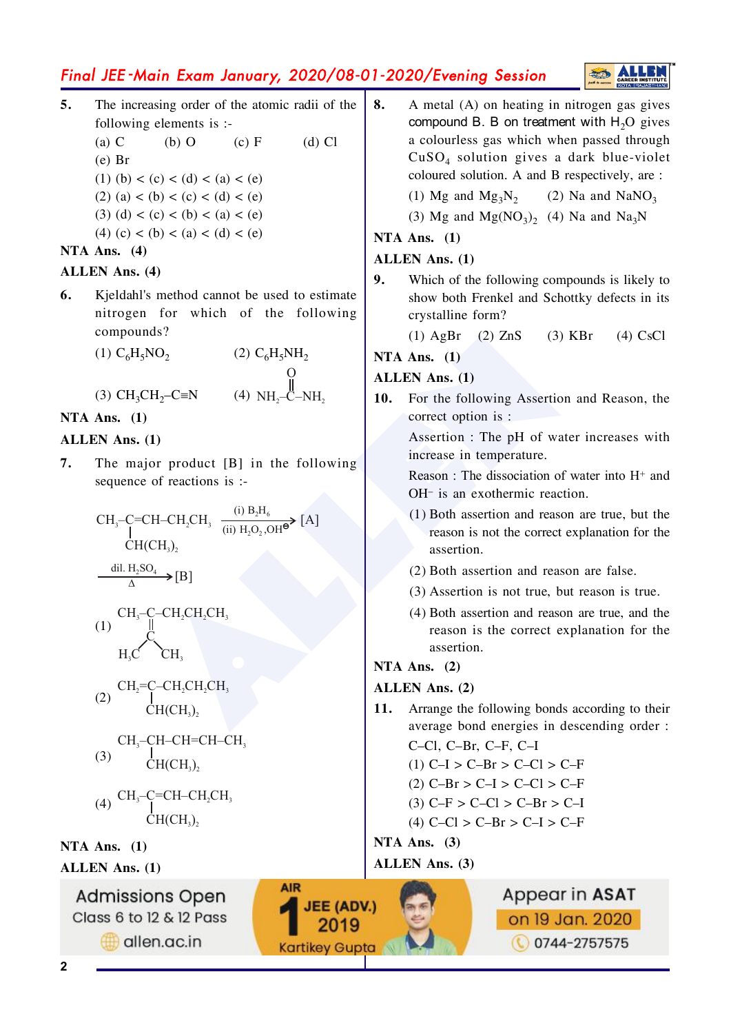# Final JEE-Main Exam January, 2020/08-01-2020/Evening Session



- $5.$ The increasing order of the atomic radii of the following elements is :- $(a)$  C  $(b)$  O  $(c) F$  $(d)$  Cl  $(e)$  Br (1) (b) < (c) < (d) < (a) < (e)  $(2)$  (a) < (b) < (c) < (d) < (e) (3) (d) < (c) < (b) < (a) < (e) (4) (c) < (b) < (a) < (d) < (e) NTA Ans.  $(4)$ **ALLEN Ans. (4)** 6. Kjeldahl's method cannot be used to estimate nitrogen for which of the following compounds? (1)  $C_6H_5NO_2$  $(2)$  C<sub>6</sub>H<sub>5</sub>NH<sub>2</sub> (3) CH<sub>3</sub>CH<sub>2</sub>-C=N (4) NH<sub>2</sub>-C-NH<sub>3</sub> NTA Ans.  $(1)$ **ALLEN Ans.** (1)
- The major product [B] in the following 7. sequence of reactions is :-



8. A metal (A) on heating in nitrogen gas gives compound B. B on treatment with  $H_2O$  gives a colourless gas which when passed through  $CuSO<sub>4</sub>$  solution gives a dark blue-violet coloured solution. A and B respectively, are :

(1) Mg and  $Mg_3N_2$ (2) Na and  $NaNO<sub>3</sub>$ 

(3) Mg and  $Mg(NO<sub>3</sub>)<sub>2</sub>$  (4) Na and  $Na<sub>3</sub>N$ 

# NTA Ans.  $(1)$

# **ALLEN Ans.** (1)

 $9<sub>1</sub>$ Which of the following compounds is likely to show both Frenkel and Schottky defects in its crystalline form?

> $(1)$  AgBr  $(2)$  ZnS  $(3)$  KBr  $(4)$  CsCl

# NTA Ans.  $(1)$

# **ALLEN Ans.** (1)

**10.** For the following Assertion and Reason, the correct option is :

> Assertion : The pH of water increases with increase in temperature.

> Reason: The dissociation of water into H<sup>+</sup> and OH<sup>-</sup> is an exothermic reaction.

- (1) Both assertion and reason are true, but the reason is not the correct explanation for the assertion.
- (2) Both assertion and reason are false.
- (3) Assertion is not true, but reason is true.
- (4) Both assertion and reason are true, and the reason is the correct explanation for the assertion.

# NTA Ans.  $(2)$

# **ALLEN Ans. (2)**

**11.** Arrange the following bonds according to their average bond energies in descending order :  $C-Cl$ ,  $C-Br$ ,  $C-F$ ,  $C-I$ 

- (1)  $C-I > C-Br > C-Cl > C-F$
- $(2)$  C-Br > C-I > C-Cl > C-F
- $(3)$  C-F > C-Cl > C-Br > C-I

$$
(4) C-Cl > C-Br > C-I > C-F
$$

NTA Ans.  $(3)$ 

ALLEN Ans. (3)

Appear in ASAT on 19 Jan. 2020 0744-2757575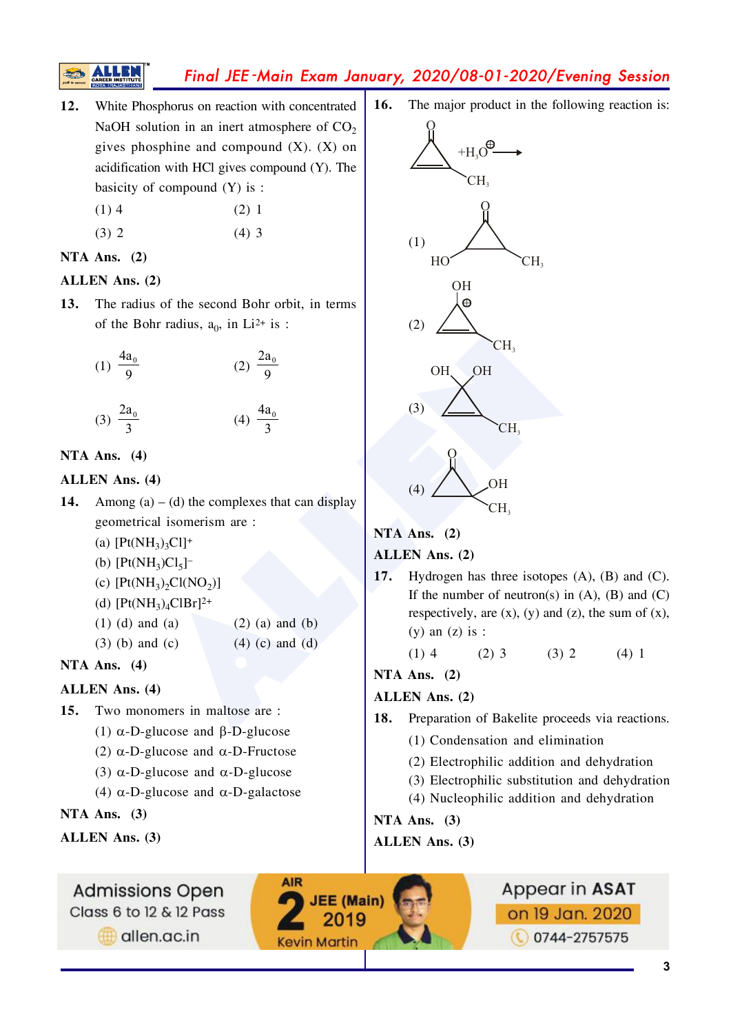# Final JEE-Main Exam January, 2020/08-01-2020/Evening Session

- $12.$ White Phosphorus on reaction with concentrated NaOH solution in an inert atmosphere of  $CO<sub>2</sub>$ gives phosphine and compound  $(X)$ .  $(X)$  on acidification with HCl gives compound (Y). The basicity of compound  $(Y)$  is :
	- $(1)$  4  $(2)$  1
	- $(3) 2$  $(4)$  3

#### NTA Ans.  $(2)$

#### ALLEN Ans. (2)

ALLEN

S

 $13.$ The radius of the second Bohr orbit, in terms of the Bohr radius,  $a_0$ , in Li<sup>2+</sup> is :

(1) 
$$
\frac{4a_0}{9}
$$
 (2)  $\frac{2a_0}{9}$   
(3)  $\frac{2a_0}{3}$  (4)  $\frac{4a_0}{3}$ 

#### NTA Ans.  $(4)$

#### **ALLEN Ans. (4)**

- 14. Among  $(a) (d)$  the complexes that can display geometrical isomerism are :
	- (a)  $[Pt(NH_3)_3Cl]^+$
	- (b)  $[Pt(NH_3)Cl_5]$ <sup>-</sup>
	- (c)  $[Pt(NH_3)_2Cl(NO_2)]$
	- (d)  $[Pt(NH_3)_4ClBr]^{2+}$
	- $(1)$   $(d)$  and  $(a)$  $(2)$  (a) and (b)
	- $(3)$  (b) and (c)  $(4)$  (c) and (d)

# NTA Ans.  $(4)$

#### **ALLEN Ans.** (4)

- $15.$ Two monomers in maltose are :
	- (1)  $\alpha$ -D-glucose and  $\beta$ -D-glucose
	- (2)  $\alpha$ -D-glucose and  $\alpha$ -D-Fructose
	- (3)  $\alpha$ -D-glucose and  $\alpha$ -D-glucose
	- (4)  $\alpha$ -D-glucose and  $\alpha$ -D-galactose

#### NTA Ans.  $(3)$

**ALLEN Ans. (3)** 



dlen.ac.in

**AIR JEE** (Main) 2019 **Kevin Martin** 

16. The major product in the following reaction is:



#### $NTA$  Ans. (2)

#### **ALLEN** Ans. (2)

 $17.$ Hydrogen has three isotopes  $(A)$ ,  $(B)$  and  $(C)$ . If the number of neutron(s) in  $(A)$ ,  $(B)$  and  $(C)$ respectively, are  $(x)$ ,  $(y)$  and  $(z)$ , the sum of  $(x)$ ,  $(y)$  an  $(z)$  is :

> $(1)$  4  $(4)$  1  $(2)$  3  $(3)$  2

NTA Ans.  $(2)$ 

# ALLEN Ans. (2)

- 18. Preparation of Bakelite proceeds via reactions.
	- (1) Condensation and elimination
	- (2) Electrophilic addition and dehydration
	- (3) Electrophilic substitution and dehydration
	- (4) Nucleophilic addition and dehydration

NTA Ans.  $(3)$ **ALLEN Ans. (3)**